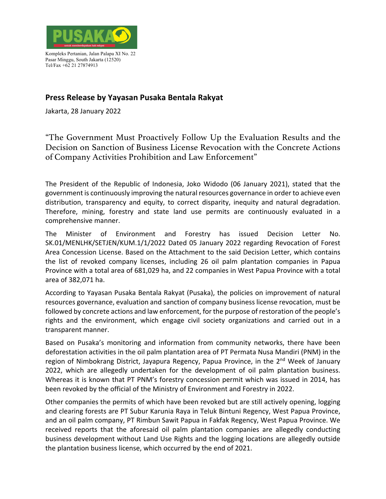

Kompleks Pertanian, Jalan Palapa XI No. 22 Pasar Minggu, South Jakarta (12520) Tel/Fax +62 21 27874913

## **Press Release by Yayasan Pusaka Bentala Rakyat**

Jakarta, 28 January 2022

"The Government Must Proactively Follow Up the Evaluation Results and the Decision on Sanction of Business License Revocation with the Concrete Actions of Company Activities Prohibition and Law Enforcement"

The President of the Republic of Indonesia, Joko Widodo (06 January 2021), stated that the government is continuously improving the natural resources governance in order to achieve even distribution, transparency and equity, to correct disparity, inequity and natural degradation. Therefore, mining, forestry and state land use permits are continuously evaluated in a comprehensive manner.

The Minister of Environment and Forestry has issued Decision Letter No. SK.01/MENLHK/SETJEN/KUM.1/1/2022 Dated 05 January 2022 regarding Revocation of Forest Area Concession License. Based on the Attachment to the said Decision Letter, which contains the list of revoked company licenses, including 26 oil palm plantation companies in Papua Province with a total area of 681,029 ha, and 22 companies in West Papua Province with a total area of 382,071 ha.

According to Yayasan Pusaka Bentala Rakyat (Pusaka), the policies on improvement of natural resources governance, evaluation and sanction of company business license revocation, must be followed by concrete actions and law enforcement, for the purpose of restoration of the people's rights and the environment, which engage civil society organizations and carried out in a transparent manner.

Based on Pusaka's monitoring and information from community networks, there have been deforestation activities in the oil palm plantation area of PT Permata Nusa Mandiri (PNM) in the region of Nimbokrang District, Jayapura Regency, Papua Province, in the 2<sup>nd</sup> Week of January 2022, which are allegedly undertaken for the development of oil palm plantation business. Whereas it is known that PT PNM's forestry concession permit which was issued in 2014, has been revoked by the official of the Ministry of Environment and Forestry in 2022.

Other companies the permits of which have been revoked but are still actively opening, logging and clearing forests are PT Subur Karunia Raya in Teluk Bintuni Regency, West Papua Province, and an oil palm company, PT Rimbun Sawit Papua in Fakfak Regency, West Papua Province. We received reports that the aforesaid oil palm plantation companies are allegedly conducting business development without Land Use Rights and the logging locations are allegedly outside the plantation business license, which occurred by the end of 2021.